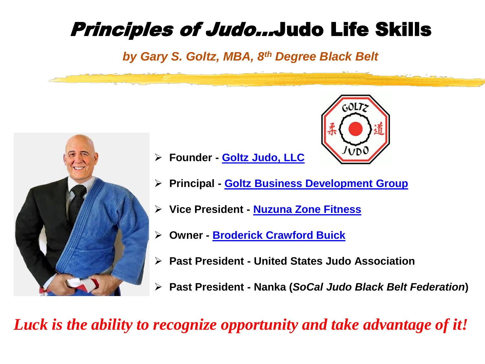#### Principles of Judo…Judo Life Skills

*by Gary S. Goltz, MBA, 8th Degree Black Belt* 



- ➢ **Founder - [Goltz Judo, LLC](http://goltzjudo.com/)**
- ➢ **Principal - [Goltz Business Development Group](http://goltzbdgroup.com/)**
- ➢ **Vice President - [Nuzuna Zone Fitness](https://www.nuzunafit.com/)**
- ➢ **Owner - [Broderick Crawford Buick](http://garysbuick.com/)**
- ➢ **Past President - United States Judo Association**
- ➢ **Past President - Nanka (***SoCal Judo Black Belt Federation***)**

 $60172$ 

*Luck is the ability to recognize opportunity and take advantage of it!*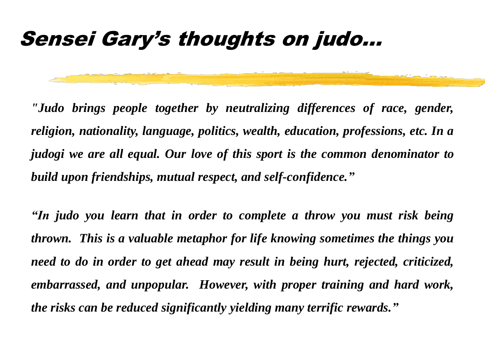#### Sensei Gary's thoughts on judo…

*"Judo brings people together by neutralizing differences of race, gender, religion, nationality, language, politics, wealth, education, professions, etc. In a judogi we are all equal. Our love of this sport is the common denominator to build upon friendships, mutual respect, and self-confidence."*

*"In judo you learn that in order to complete a throw you must risk being thrown. This is a valuable metaphor for life knowing sometimes the things you need to do in order to get ahead may result in being hurt, rejected, criticized, embarrassed, and unpopular. However, with proper training and hard work, the risks can be reduced significantly yielding many terrific rewards."*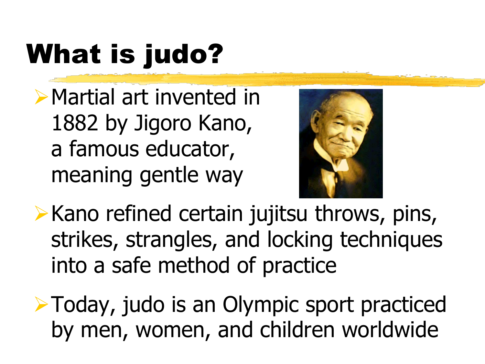# What is judo?

➢Martial art invented in 1882 by Jigoro Kano, a famous educator, meaning gentle way



➢Kano refined certain jujitsu throws, pins, strikes, strangles, and locking techniques into a safe method of practice

➢Today, judo is an Olympic sport practiced by men, women, and children worldwide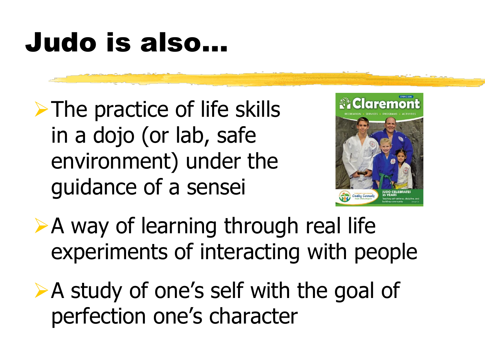## Judo is also…

➢The practice of life skills in a dojo (or lab, safe environment) under the guidance of a sensei



- ➢A way of learning through real life experiments of interacting with people
- ➢A study of one's self with the goal of perfection one's character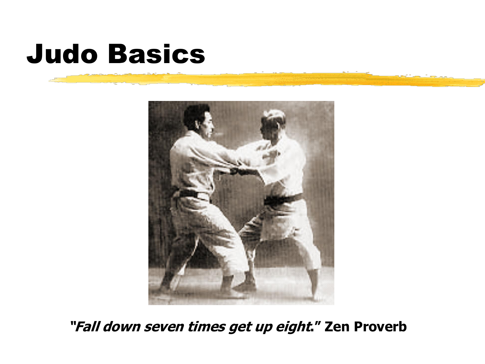### Judo Basics



**"Fall down seven times get up eight." Zen Proverb**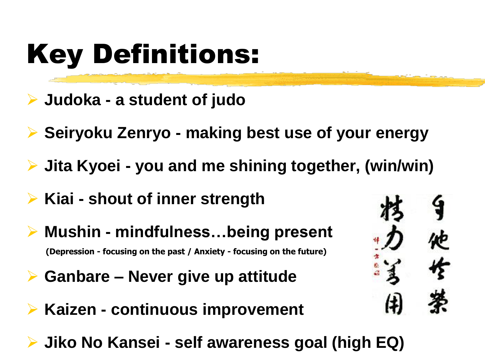## Key Definitions:

- ➢ **Judoka - a student of judo**
- ➢ **Seiryoku Zenryo - making best use of your energy**
- ➢ **Jita Kyoei - you and me shining together, (win/win)**
- ➢ **Kiai - shout of inner strength**
- ➢ **Mushin - mindfulness…being present (Depression - focusing on the past / Anxiety - focusing on the future)**
- ➢ **Ganbare – Never give up attitude**
- ➢ **Kaizen - continuous improvement**
- ➢ **Jiko No Kansei - self awareness goal (high EQ)**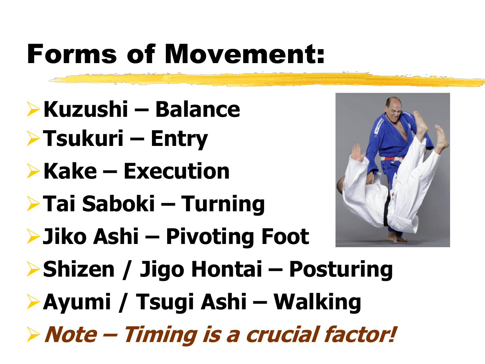## Forms of Movement:

- ➢**Kuzushi – Balance**
- ➢**Tsukuri – Entry**
- ➢**Kake – Execution**
- ➢**Tai Saboki – Turning**



- ➢**Jiko Ashi – Pivoting Foot**
- ➢**Shizen / Jigo Hontai – Posturing**
- ➢**Ayumi / Tsugi Ashi – Walking**
- ➢**Note – Timing is a crucial factor!**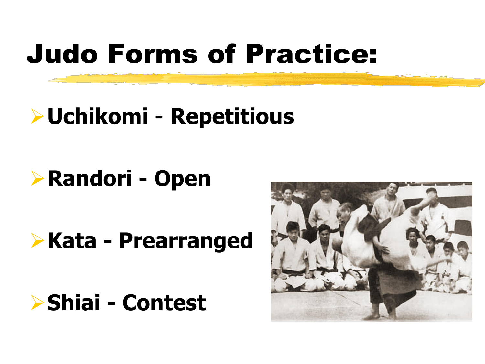## Judo Forms of Practice:

#### ➢**Uchikomi - Repetitious**

### ➢**Randori - Open**

### ➢**Kata - Prearranged**

#### ➢**Shiai - Contest**

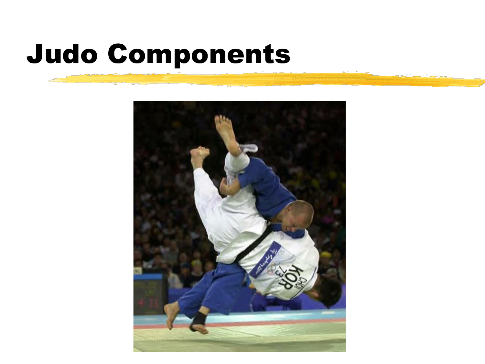## Judo Components

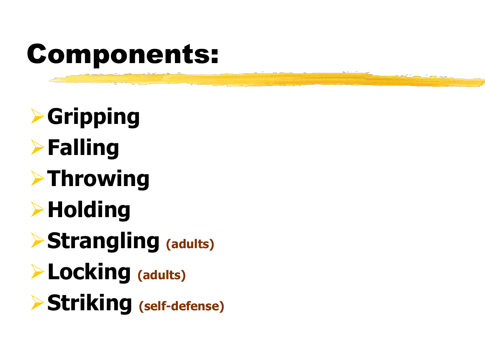## Components:

➢**Gripping** ➢**Falling** ➢**Throwing** ➢**Holding** ➢**Strangling (adults)** ➢**Locking (adults)** ➢**Striking (self-defense)**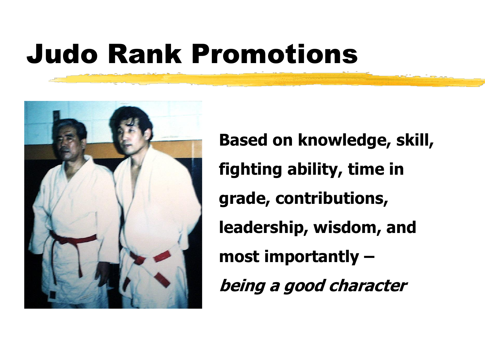## Judo Rank Promotions



**Based on knowledge, skill, fighting ability, time in grade, contributions, leadership, wisdom, and most importantly – being a good character**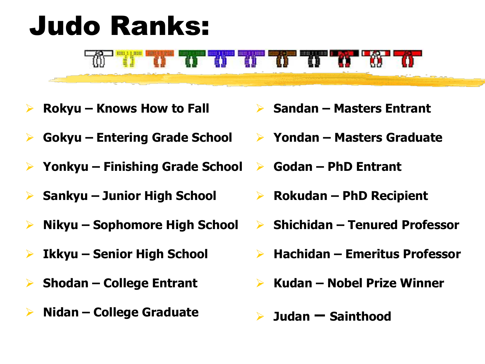## Judo Ranks:



- ➢ **Rokyu – Knows How to Fall**
- ➢ **Gokyu – Entering Grade School**
- ➢ **Yonkyu – Finishing Grade School**
- ➢ **Sankyu – Junior High School**
- ➢ **Nikyu – Sophomore High School**
- ➢ **Ikkyu – Senior High School**
- ➢ **Shodan – College Entrant**
- ➢ **Nidan – College Graduate**
- ➢ **Sandan – Masters Entrant**
- ➢ **Yondan – Masters Graduate**
- ➢ **Godan – PhD Entrant**
- ➢ **Rokudan – PhD Recipient**
- ➢ **Shichidan – Tenured Professor**
- ➢ **Hachidan – Emeritus Professor**
- ➢ **Kudan – Nobel Prize Winner**
- ➢ **Judan – Sainthood**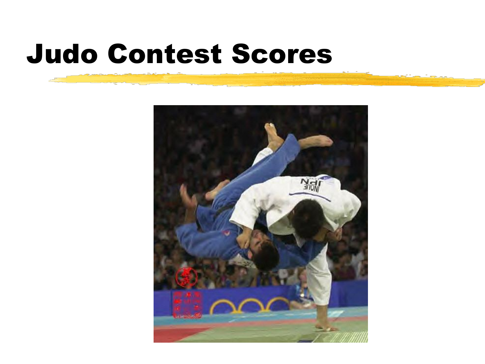### Judo Contest Scores

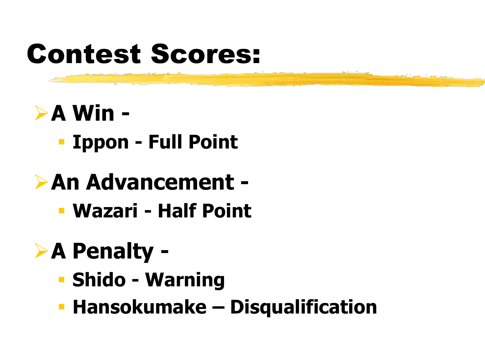## Contest Scores:

### ➢**A Win -**

▪ **Ippon - Full Point**

#### ➢**An Advancement -**

▪ **Wazari - Half Point** 

### ➢**A Penalty -**

- **Shido - Warning**
- **Hansokumake – Disqualification**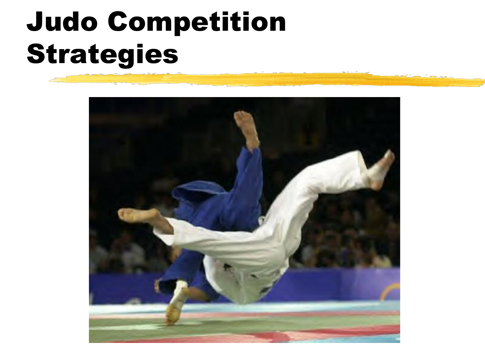## Judo Competition Strategies

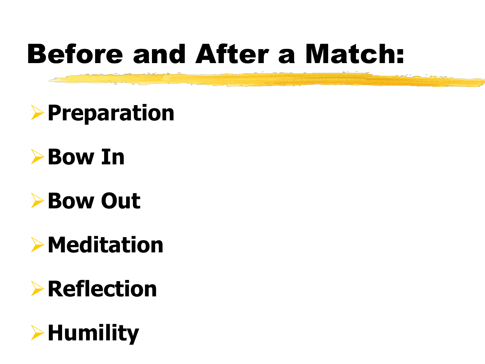## Before and After a Match:

### ➢**Preparation**



#### ➢**Bow Out**

#### ➢**Meditation**

### ➢**Reflection**

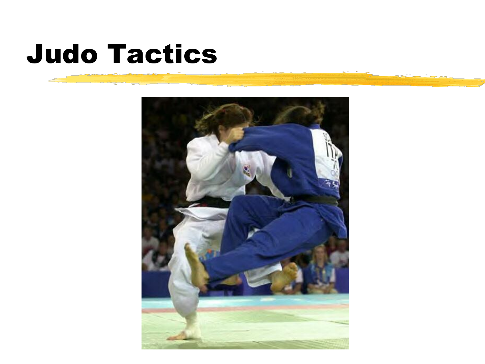### Judo Tactics

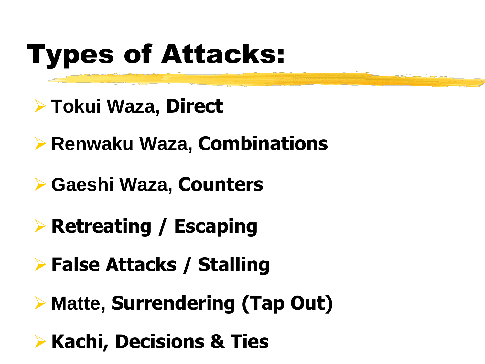# Types of Attacks:

- ➢ **Tokui Waza, Direct**
- ➢ **Renwaku Waza, Combinations**
- ➢ **Gaeshi Waza, Counters**
- ➢ **Retreating / Escaping**
- ➢ **False Attacks / Stalling**
- ➢ **Matte, Surrendering (Tap Out)**
- ➢ **Kachi, Decisions & Ties**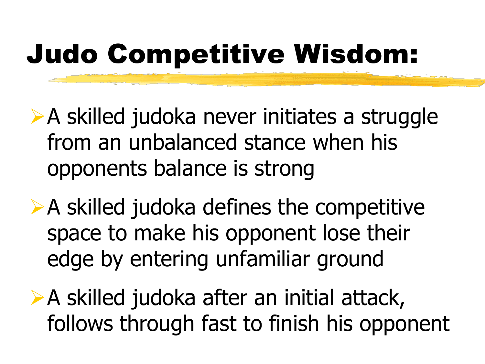## Judo Competitive Wisdom:

- ➢A skilled judoka never initiates a struggle from an unbalanced stance when his opponents balance is strong
- ➢A skilled judoka defines the competitive space to make his opponent lose their edge by entering unfamiliar ground
- ➢A skilled judoka after an initial attack, follows through fast to finish his opponent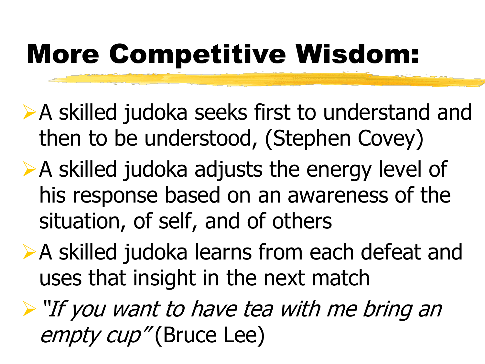## More Competitive Wisdom:

- ➢A skilled judoka seeks first to understand and then to be understood, (Stephen Covey)
- ➢A skilled judoka adjusts the energy level of his response based on an awareness of the situation, of self, and of others
- ➢A skilled judoka learns from each defeat and uses that insight in the next match
- ➢"If you want to have tea with me bring an empty cup" (Bruce Lee)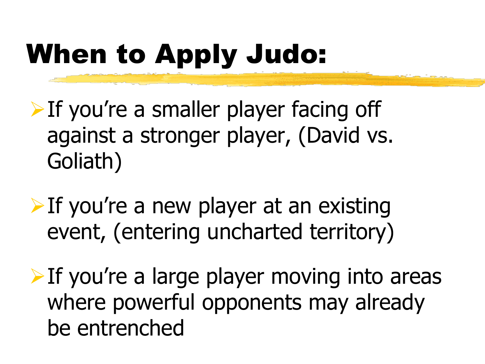# When to Apply Judo:

- ➢If you're a smaller player facing off against a stronger player, (David vs. Goliath)
- $\triangleright$  If you're a new player at an existing event, (entering uncharted territory)
- $\triangleright$  If you're a large player moving into areas where powerful opponents may already be entrenched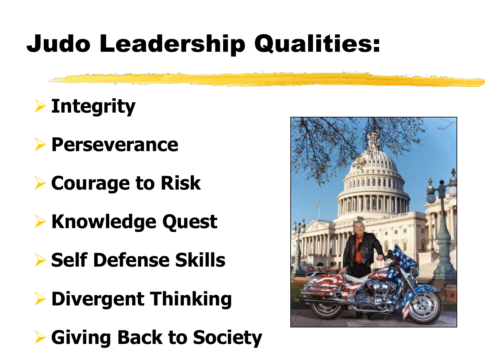### Judo Leadership Qualities:

#### ➢ **Integrity**

- ➢ **Perseverance**
- ➢ **Courage to Risk**
- ➢ **Knowledge Quest**
- ➢ **Self Defense Skills**
- ➢ **Divergent Thinking**
- ➢ **Giving Back to Society**

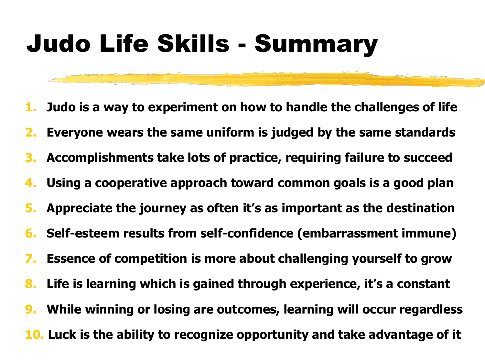### Judo Life Skills - Summary

- **1. Judo is a way to experiment on how to handle the challenges of life**
- **2. Everyone wears the same uniform is judged by the same standards**
- **3. Accomplishments take lots of practice, requiring failure to succeed**
- **4. Using a cooperative approach toward common goals is a good plan**
- **5. Appreciate the journey as often it's as important as the destination**
- **6. Self-esteem results from self-confidence (embarrassment immune)**
- **7. Essence of competition is more about challenging yourself to grow**
- **8. Life is learning which is gained through experience, it's a constant**
- **9. While winning or losing are outcomes, learning will occur regardless**
- **10. Luck is the ability to recognize opportunity and take advantage of it**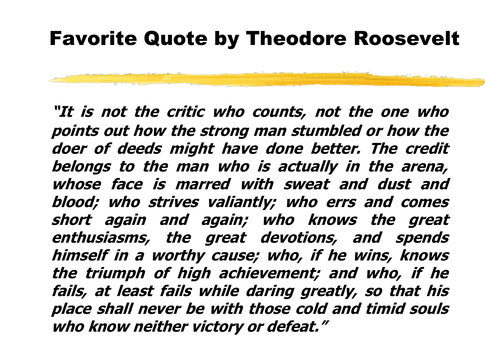#### Favorite Quote by Theodore Roosevelt

**"It is not the critic who counts, not the one who points out how the strong man stumbled or how the doer of deeds might have done better. The credit belongs to the man who is actually in the arena, whose face is marred with sweat and dust and blood; who strives valiantly; who errs and comes short again and again; who knows the great enthusiasms, the great devotions, and spends himself in <sup>a</sup> worthy cause; who, if he wins, knows the triumph of high achievement; and who, if he fails, at least fails while daring greatly, so that his place shall never be with those cold and timid souls who know neither victory or defeat."**